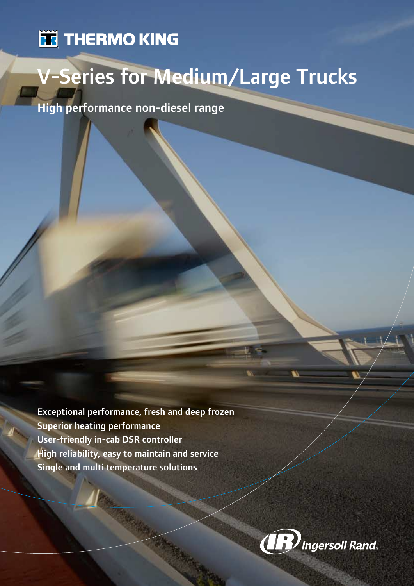# **TE THERMO KING**

# V-Series for Medium/Large Trucks

High performance non-diesel range

Exceptional performance, fresh and deep frozen Superior heating performance User-friendly in-cab DSR controller High reliability, easy to maintain and service Single and multi temperature solutions

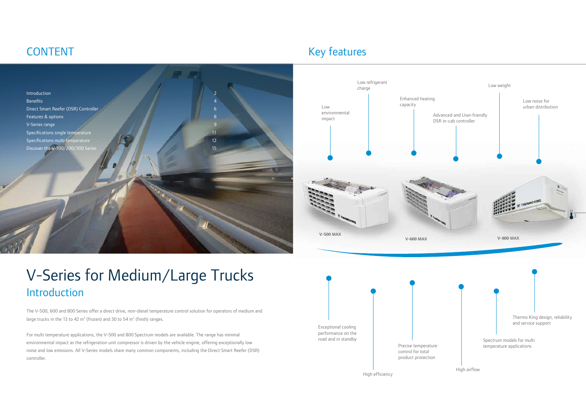The V-500, 600 and 800 Series offer a direct drive, non-diesel temperature control solution for operators of medium and large trucks in the 13 to 42  $m^3$  (frozen) and 30 to 54  $m^3$  (fresh) ranges.

# V-Series for Medium/Large Trucks Introduction



# CONTENT

For multi temperature applications, the V-500 and 800 Spectrum models are available. The range has minimal environmental impact as the refrigeration unit compressor is driven by the vehicle engine, offering exceptionally low noise and low emissions. All V-Series models share many common components, including the Direct Smart Reefer (DSR) controller.





# Key features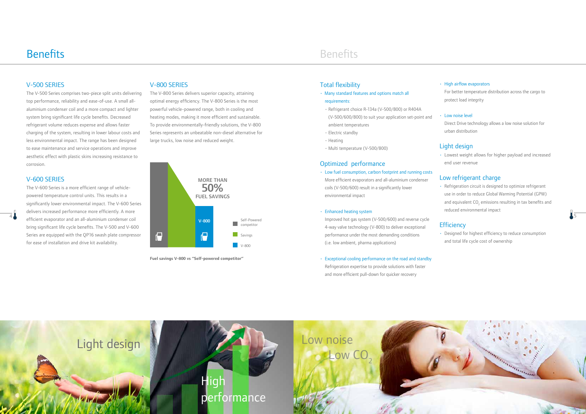**Fuel savings V-800 vs "Self-powered competitor"**





### Total flexibility

- Many standard features and options match all requirements:
- Refrigerant choice R-134a (V-500/800) or R404A (V-500/600/800) to suit your application set-point and ambient temperatures
- Electric standby
- Heating
- Multi temperature (V-500/800)

#### Optimized performance

• Low fuel consumption, carbon footprint and running costs More efficient evaporators and all-aluminium condenser coils (V-500/600) result in a significantly lower environmental impact

#### • Enhanced heating system

Improved hot gas system (V-500/600) and reverse cycle 4-way valve technology (V-800) to deliver exceptional performance under the most demanding conditions (i.e. low ambient, pharma applications)

• Exceptional cooling performance on the road and standby

Refrigeration expertise to provide solutions with faster and more efficient pull-down for quicker recovery

#### • High airflow evaporators

For better temperature distribution across the cargo to protect load integrity

#### **Low noise level**

Direct Drive technology allows a low noise solution for urban distribution

### Light design

• Lowest weight allows for higher payload and increased end user revenue

#### Low refrigerant charge

• Refrigeration circuit is designed to optimize refrigerant use in order to reduce Global Warming Potential (GPW) and equivalent CO<sub>2</sub> emissions resulting in tax benefits and reduced environmental impact

### **Efficiency**

• Designed for highest efficiency to reduce consumption and total life cycle cost of ownership

## Benefits **Benefits**

### V-500 SERIES

The V-500 Series comprises two-piece split units delivering top performance, reliability and ease-of-use. A small allaluminium condenser coil and a more compact and lighter system bring significant life cycle benefits. Decreased refrigerant volume reduces expense and allows faster charging of the system, resulting in lower labour costs and less environmental impact. The range has been designed to ease maintenance and service operations and improve aesthetic effect with plastic skins increasing resistance to corrosion.

V-600 SERIES

The V-600 Series is a more efficient range of vehiclepowered temperature control units. This results in a

delivers increased performance more efficiently. A more efficient evaporator and an all-aluminium condenser coil bring significant life cycle benefits. The V-500 and V-600 Series are equipped with the QP16 swash plate compressor

for ease of installation and drive kit availability.

#### V-800 SERIES

The V-800 Series delivers superior capacity, attaining optimal energy efficiency. The V-800 Series is the most powerful vehicle-powered range, both in cooling and heating modes, making it more efficient and sustainable. To provide environmentally-friendly solutions, the V-800 Series represents an unbeatable non-diesel alternative for large trucks, low noise and reduced weight.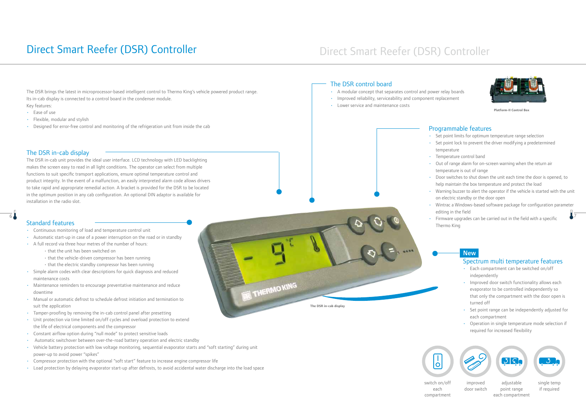

**Platform-II Control Box**

#### The DSR in-cab display

The DSR in-cab unit provides the ideal user interface. LCD technology with LED backlighting makes the screen easy to read in all light conditions. The operator can select from multiple functions to suit specific transport applications, ensure optimal temperature control and product integrity. In the event of a malfunction, an easily interpreted alarm code allows drivers to take rapid and appropriate remedial action. A bracket is provided for the DSR to be located in the optimum position in any cab configuration. An optional DIN adaptor is available for installation in the radio slot.

## Standard features **Example 2018** Thermo King Standard features **Example 2018** Thermo King

- temperature
- temperature is out of range
- $\sim$  6  $\sim$  7  $\sim$  7  $\sim$  6  $\sim$  7  $\sim$  7  $\sim$  7  $\sim$  7  $\sim$  7  $\sim$  7  $\sim$  7  $\sim$  7  $\sim$  7  $\sim$  7  $\sim$  7  $\sim$  7  $\sim$  7  $\sim$  7  $\sim$  7  $\sim$  7  $\sim$  7  $\sim$  7  $\sim$  7  $\sim$  7  $\sim$  7  $\sim$  7  $\sim$  7  $\sim$  7  $\sim$  7  $\sim$  7  $\sim$  7  $\sim$



### **New**

switch on/off each compartment



adjustable point range each compartment



improved door switch



single temp if required

### Programmable features

- Set point limits for optimum temperature range selection
- Set point lock to prevent the driver modifying a predetermined
- Temperature control band
- Out of range alarm for on-screen warning when the return air
- 
- Door switches to shut down the unit each time the door is opened, to help maintain the box temperature and protect the load
- Warning buzzer to alert the operator if the vehicle is started with the unit on electric standby or the door open
- Wintrac a Windows-based software package for configuration parameter editing in the field
- 
- Continuous monitoring of load and temperature control unit
- Automatic start-up in case of a power interruption on the road or in standby
- A full record via three hour metres of the number of hours:
	- that the unit has been switched on
	- that the vehicle-driven compressor has been running
	- that the electric standby compressor has been running
- Simple alarm codes with clear descriptions for quick diagnosis and reduced maintenance costs
- Maintenance reminders to encourage preventative maintenance and reduce downtime
- Manual or automatic defrost to schedule defrost initiation and termination to suit the application
- Tamper-proofing by removing the in-cab control panel after presetting
- Unit protection via time limited on/off cycles and overload protection to extend the life of electrical components and the compressor
- Constant airflow option during "null mode" to protect sensitive loads
- Automatic switchover between over-the-road battery operation and electric standby
- Vehicle battery protection with low voltage monitoring, sequential evaporator starts and "soft starting" during unit power-up to avoid power "spikes"
- Compressor protection with the optional "soft start" feature to increase engine compressor life
- Load protection by delaying evaporator start-up after defrosts, to avoid accidental water discharge into the load space

# Direct Smart Reefer (DSR) Controller Direct Smart Reefer (DSR) Controller

The DSR brings the latest in microprocessor-based intelligent control to Thermo King's vehicle powered product range. Its in-cab display is connected to a control board in the condenser module. Key features:

#### • Ease of use

- Flexible, modular and stylish
- Designed for error-free control and monitoring of the refrigeration unit from inside the cab

### The DSR control board

- A modular concept that separates control and power relay boards
- Improved reliability, serviceability and component replacement
- Lower service and maintenance costs

### Spectrum multi temperature features

- Each compartment can be switched on/off independently
- Improved door switch functionality allows each evaporator to be controlled independently so that only the compartment with the door open is turned off
- Set point range can be independently adjusted for each compartment
- Operation in single temperature mode selection if required for increased flexibility



**The DSR in-cab display** 

THERMO KING

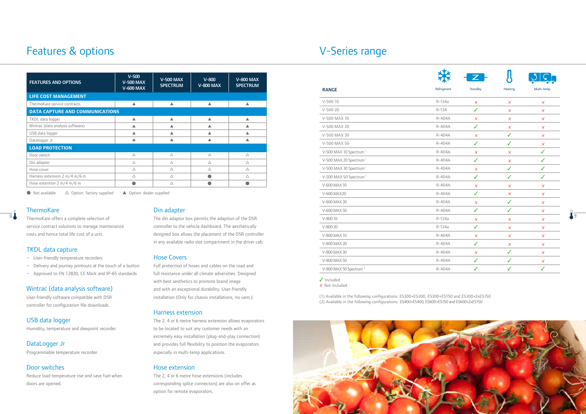#### TKDL data capture

- User-friendly temperature recorders
- Delivery and journey printouts at the touch of a button
- Approved to EN 12830, CE Mark and IP-65 standards

#### Wintrac (data analysis software)

User-friendly software compatible with DSR controller for configuration file downloads.

USB data logger Humidity, temperature and dewpoint recorder.

DataLogger Jr Programmable temperature recorder.

### Door switches

Reduce load temperature rise and save fuel when doors are opened.

#### Din adapter

### Hose Covers

Full protection of hoses and cables on the road and full resistance under all climate adversities. Designed with best aesthetics to promote brand image and with an exceptional durability. User-friendly installation (Only for chassis installations, no vans.).

#### Harness extension

The 2, 4 or 6 metre harness extension allows evaporators to be located to suit any customer needs with an extremely easy installation (plug-and-play connection) and provides full flexibility to position the evaporators especially in multi-temp applications.

| <b>FEATURES AND OPTIONS</b>                             | $V-500$<br><b>V-500 MAX</b><br><b>V-600 MAX</b> | <b>V-500 MAX</b><br><b>SPECTRUM</b> | $V-800$<br><b>V-800 MAX</b>                                | <b>V-800 MAX</b><br><b>SPECTRUM</b>                     |
|---------------------------------------------------------|-------------------------------------------------|-------------------------------------|------------------------------------------------------------|---------------------------------------------------------|
| <b>LIFE COST MANAGEMENT</b>                             |                                                 |                                     |                                                            |                                                         |
| ThermoKare service contracts                            | $\blacktriangle$                                | $\blacktriangle$                    | $\blacktriangle$                                           | $\blacktriangle$                                        |
| <b>DATA CAPTURE AND COMMUNICATIONS</b>                  |                                                 |                                     |                                                            |                                                         |
| TKDL data logger                                        | $\blacktriangle$                                | $\blacktriangle$                    | $\blacktriangle$                                           | ▲                                                       |
| Wintrac (data analysis software)                        | ▲                                               | ▲                                   | ▲                                                          | ▲                                                       |
| USB data logger                                         | $\blacktriangle$                                | ▲                                   | ▲                                                          | ▲                                                       |
| Datalogger Jr                                           | $\blacktriangle$                                | $\blacktriangle$                    | $\blacktriangle$                                           | $\blacktriangle$                                        |
| <b>LOAD PROTECTION</b>                                  |                                                 |                                     |                                                            |                                                         |
| Door switch                                             | $\triangle$                                     | $\triangle$                         | $\triangle$                                                | $\triangle$                                             |
| Din adapter                                             | $\triangle$                                     | $\triangle$                         | $\triangle$                                                | $\triangle$                                             |
| Hose cover<br>Harness extension 2 m/4 m/6 m             | $\triangle$                                     | $\triangle$                         | $\triangle$                                                | $\triangle$                                             |
| Hose extention 2 m/4 m/6 m                              | $\triangle$<br>$\bullet$                        | $\triangle$<br>$\triangle$          | $\bullet$<br>$\bullet$                                     | $\triangle$<br>$\bullet$                                |
|                                                         |                                                 |                                     |                                                            |                                                         |
| Not available<br>$\triangle$ Option: factory supplied   | ▲ Option: dealer supplied                       |                                     |                                                            |                                                         |
|                                                         |                                                 |                                     |                                                            |                                                         |
| <b>ThermoKare</b>                                       |                                                 | Din adapter                         |                                                            |                                                         |
| ThermoKare offers a complete selection of               |                                                 |                                     | The din adaptor box permits the adaption of the DSR        |                                                         |
| service contract solutions to manage maintenance        |                                                 |                                     | controller to the vehicle dashboard. The aesthetically     |                                                         |
| costs and hence total life cost of a unit.              |                                                 |                                     |                                                            | designed box allows the placement of the DSR controller |
|                                                         |                                                 |                                     | in any available radio slot compartment in the driver cab. |                                                         |
| <b>TKDL</b> data capture                                |                                                 |                                     |                                                            |                                                         |
| • User-friendly temperature recorders                   |                                                 | <b>Hose Covers</b>                  |                                                            |                                                         |
| Delivery and journey printouts at the touch of a button |                                                 |                                     | Full protection of hoses and cables on the road and        |                                                         |
| . Approved to FN 12830 CF Mark and IP-65 standards      |                                                 |                                     | full resistance under all climate adversities. Designed    |                                                         |

#### Hose extension

The 2, 4 or 6 metre hose extensions (includes corresponding splice connectors) are also on offer as option for remote evaporators.

# Features & options

| <b>V-Series range</b> |  |  |
|-----------------------|--|--|
|-----------------------|--|--|

| <b>FEATURES AND OPTIONS</b>                          | $V-500$<br><b>V-500 MAX</b><br><b>V-600 MAX</b> | <b>V-500 MAX</b><br><b>SPECTRUM</b> | $V - 800$<br><b>V-800 MAX</b> | <b>V-800 MAX</b><br><b>SPECTRUM</b> |
|------------------------------------------------------|-------------------------------------------------|-------------------------------------|-------------------------------|-------------------------------------|
| <b>LIFE COST MANAGEMENT</b>                          |                                                 |                                     |                               |                                     |
| ThermoKare service contracts                         | ▲                                               | ▲                                   |                               |                                     |
| <b>DATA CAPTURE AND COMMUNICATIONS</b>               |                                                 |                                     |                               |                                     |
| TKDL data logger                                     | ▲                                               | ▲                                   |                               |                                     |
| Wintrac (data analysis software)                     |                                                 |                                     |                               |                                     |
| USB data logger                                      | ▲                                               |                                     |                               |                                     |
| Datalogger Jr                                        |                                                 |                                     |                               |                                     |
| <b>LOAD PROTECTION</b>                               |                                                 |                                     |                               |                                     |
| Door switch                                          | $\triangle$                                     | $\triangle$                         | $\triangle$                   | $\triangle$                         |
| Din adapter                                          | $\triangle$                                     | $\triangle$                         | $\triangle$                   | $\triangle$                         |
| Hose cover                                           | $\triangle$                                     | $\triangle$                         | Δ                             | $\triangle$                         |
| Harness extension 2 m/4 m/6 m                        | $\triangle$                                     | $\triangle$                         |                               | $\triangle$                         |
| Hose extention $2 \text{ m}/4 \text{ m}/6 \text{ m}$ |                                                 | Δ                                   |                               |                                     |

### **ThermoKare**

✓ Included

X Not included

(1) Available in the following configurations: ES300+ES300, ES300+ES150 and ES300+2xES150 (2) Available in the following configurations: ES400+ES400, ES600+ES150 and ES600+2xES150

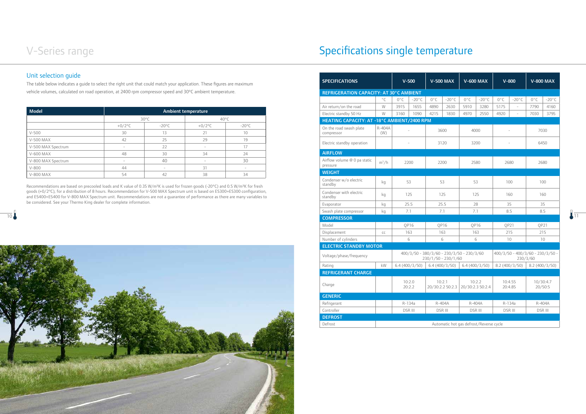# Specifications single temperature

|                                                                                                                                                                                                                                                                                                                                                                                                                                                                                                         |                          |                 |                            |                 |                                             | $^{\circ}$ C  | $0^{\circ}$ C<br>$-20^{\circ}$ C                                           | $0^{\circ}$ C         | $-20^{\circ}$ C | $0^{\circ}$ C                               | $-20^{\circ}$ C | $0^{\circ}$ C                    | $-20^{\circ}$ C | $0^{\circ}$ C<br>$-20^{\circ}$ C |
|---------------------------------------------------------------------------------------------------------------------------------------------------------------------------------------------------------------------------------------------------------------------------------------------------------------------------------------------------------------------------------------------------------------------------------------------------------------------------------------------------------|--------------------------|-----------------|----------------------------|-----------------|---------------------------------------------|---------------|----------------------------------------------------------------------------|-----------------------|-----------------|---------------------------------------------|-----------------|----------------------------------|-----------------|----------------------------------|
| <b>Model</b>                                                                                                                                                                                                                                                                                                                                                                                                                                                                                            |                          |                 | <b>Ambient temperature</b> |                 | Air return/on the road                      | W             | 3915<br>1655                                                               | 4890                  | 2630            | 5910                                        | 3280            | 5175                             |                 | 7790<br>4160                     |
|                                                                                                                                                                                                                                                                                                                                                                                                                                                                                                         | $30^{\circ}$ C           |                 |                            | 40°C            | Electric standby 50 Hz                      | W             | 3160<br>1090                                                               | 4215                  | 1830            | 4970                                        | 2550            | 4920                             | $\sim$          | 7030<br>3795                     |
|                                                                                                                                                                                                                                                                                                                                                                                                                                                                                                         | $+0/2$ °C                | $-20^{\circ}$ C | $+0/2$ °C                  | $-20^{\circ}$ C | HEATING CAPACITY: AT -18°C AMBIENT/2400 RPM |               |                                                                            |                       |                 |                                             |                 |                                  |                 |                                  |
| $V-500$                                                                                                                                                                                                                                                                                                                                                                                                                                                                                                 | 30                       | 13              | 21                         | 10              | On the road swash plate<br>compressor       | R-404A<br>(W) |                                                                            | 3600                  |                 | 4000                                        |                 |                                  |                 | 7030                             |
| V-500 MAX                                                                                                                                                                                                                                                                                                                                                                                                                                                                                               | 42                       | 25              | 29                         | 19              |                                             |               |                                                                            |                       |                 |                                             |                 |                                  |                 |                                  |
| V-500 MAX Spectrum                                                                                                                                                                                                                                                                                                                                                                                                                                                                                      | $\overline{\phantom{a}}$ | 22              |                            | 17              | Electric standby operation                  |               | $\overline{\phantom{a}}$                                                   | 3120                  |                 | 3200                                        |                 | $\overline{\phantom{a}}$         |                 | 6450                             |
| V-600 MAX                                                                                                                                                                                                                                                                                                                                                                                                                                                                                               | 48                       | 30              | 34                         | 24              | <b>AIRFLOW</b>                              |               |                                                                            |                       |                 |                                             |                 |                                  |                 |                                  |
| V-800 MAX Spectrum                                                                                                                                                                                                                                                                                                                                                                                                                                                                                      | $\overline{\phantom{a}}$ | 40              |                            | 30              | Airflow volume @ 0 pa static                | $m^3/h$       |                                                                            |                       |                 |                                             |                 |                                  |                 |                                  |
| $V-800$                                                                                                                                                                                                                                                                                                                                                                                                                                                                                                 | 44                       | $\sim$          | 31                         | $\sim$          | pressure                                    |               | 2200                                                                       | 2200                  |                 | 2580                                        |                 | 2680                             |                 | 2680                             |
| V-800 MAX                                                                                                                                                                                                                                                                                                                                                                                                                                                                                               | 54                       | 42              | 38                         | 34              | <b>WEIGHT</b>                               |               |                                                                            |                       |                 |                                             |                 |                                  |                 |                                  |
|                                                                                                                                                                                                                                                                                                                                                                                                                                                                                                         |                          |                 |                            |                 | Condenser w/o electric                      | kg            | 53                                                                         | 53                    |                 | 53                                          |                 | 100                              |                 | 100                              |
|                                                                                                                                                                                                                                                                                                                                                                                                                                                                                                         |                          |                 |                            |                 | standby                                     |               |                                                                            |                       |                 |                                             |                 |                                  |                 |                                  |
|                                                                                                                                                                                                                                                                                                                                                                                                                                                                                                         |                          |                 |                            |                 | Condenser with electric<br>standby          | kg            | 125                                                                        | 125                   |                 | 125                                         |                 | 160                              |                 | 160                              |
|                                                                                                                                                                                                                                                                                                                                                                                                                                                                                                         |                          |                 |                            |                 | Evaporator                                  | kg            | 25.5                                                                       | 25.5                  |                 | 28                                          |                 | 35                               |                 | 35                               |
|                                                                                                                                                                                                                                                                                                                                                                                                                                                                                                         |                          |                 |                            |                 | Swash plate compressor                      | kq            | 7.1                                                                        | 7.1                   |                 | 7.1                                         |                 | 8.5                              |                 | 8.5                              |
|                                                                                                                                                                                                                                                                                                                                                                                                                                                                                                         |                          |                 |                            |                 | <b>COMPRESSOR</b>                           |               |                                                                            |                       |                 |                                             |                 |                                  |                 |                                  |
|                                                                                                                                                                                                                                                                                                                                                                                                                                                                                                         |                          |                 |                            |                 | Model                                       |               | QP16                                                                       | QP16                  |                 | QP16                                        |                 | QP21                             |                 | QP21                             |
|                                                                                                                                                                                                                                                                                                                                                                                                                                                                                                         |                          |                 |                            |                 | Displacement                                | CC            | 163                                                                        | 163                   |                 | 163                                         |                 | 215                              |                 | 215                              |
|                                                                                                                                                                                                                                                                                                                                                                                                                                                                                                         |                          |                 |                            |                 | Number of cylinders                         |               | $\sqrt{2}$                                                                 | 6                     |                 | $\sqrt{2}$                                  |                 | 10                               |                 | $10 -$                           |
|                                                                                                                                                                                                                                                                                                                                                                                                                                                                                                         |                          |                 |                            |                 | <b>ELECTRIC STANDBY MOTOR</b>               |               |                                                                            |                       |                 |                                             |                 |                                  |                 |                                  |
|                                                                                                                                                                                                                                                                                                                                                                                                                                                                                                         |                          |                 |                            |                 | Voltage/phase/frequency                     |               | $400/3/50 - 380/3/60 - 230/3/50 - 230/3/60$                                | $230/1/50 - 230/1/60$ |                 |                                             |                 | $400/3/50 - 400/3/60 - 230/3/50$ | 230/3/60        |                                  |
|                                                                                                                                                                                                                                                                                                                                                                                                                                                                                                         |                          |                 |                            |                 | Rating                                      | kW            | 6.4 (400/3/50) 6.4 (400/3/50) 6.4 (400/3/50) 8.2 (400/3/50) 8.2 (400/3/50) |                       |                 |                                             |                 |                                  |                 |                                  |
| Recommendations are based on precooled loads and K value of 0.35 W/m <sup>2</sup> K is used for frozen goods (-20°C) and 0.5 W/m <sup>2</sup> K for fresh<br>qoods (+0/2°C), for a distribution of 8 hours. Recommendation for V-500 MAX Spectrum unit is based on ES300+ES300 configuration,<br>and ES400+ES400 for V-800 MAX Spectrum unit. Recommendations are not a quarantee of performance as there are many variables to<br>be considered. See your Thermo King dealer for complete information. |                          |                 |                            |                 | <b>REFRIGERANT CHARGE</b>                   |               |                                                                            |                       |                 |                                             |                 |                                  |                 |                                  |
|                                                                                                                                                                                                                                                                                                                                                                                                                                                                                                         |                          |                 |                            |                 | Charge                                      |               | 10:2.0<br>20:2.2                                                           | 10:2.1                |                 | 10:2.2<br>20/30:2.2 50:2.3 20/30:2.3 50:2.4 |                 | 10:4.55<br>20:4.85               |                 | 10/30:4.7<br>20/50:5             |
|                                                                                                                                                                                                                                                                                                                                                                                                                                                                                                         |                          |                 |                            |                 | <b>GENERIC</b>                              |               |                                                                            |                       |                 |                                             |                 |                                  |                 |                                  |
|                                                                                                                                                                                                                                                                                                                                                                                                                                                                                                         |                          |                 |                            |                 | Refrigerant                                 |               | R-134a                                                                     | R-404A                |                 | R-404A                                      |                 | R-134a                           |                 | R-404A                           |

## Unit selection guide



| <b>Model</b>       |                          |                                 | <b>Ambient temperature</b> |                   |
|--------------------|--------------------------|---------------------------------|----------------------------|-------------------|
|                    |                          | $30^{\circ}$ C                  | $40^{\circ}$ C             |                   |
|                    | $+0/2$ °C                | $-20^{\circ}$ C                 | $+0/2$ °C                  | $-20^{\circ}$ C   |
| $V-500$            | 30                       | 13                              | 21                         | 10                |
| V-500 MAX          | 42                       | 25                              | 29                         | 19                |
| V-500 MAX Spectrum | $\qquad \qquad$          | 22                              | $\overline{\phantom{a}}$   | 17                |
| V-600 MAX          | 48                       | 30                              | 34                         | 24                |
| V-800 MAX Spectrum | $\overline{\phantom{a}}$ | 40                              | $\overline{\phantom{0}}$   | 30                |
| $V - 800$          | 44                       | $\hspace{0.1mm}-\hspace{0.1mm}$ | 31                         | $\qquad \qquad =$ |
| <b>V-800 MAX</b>   | 54                       | 42                              | 38                         | 34                |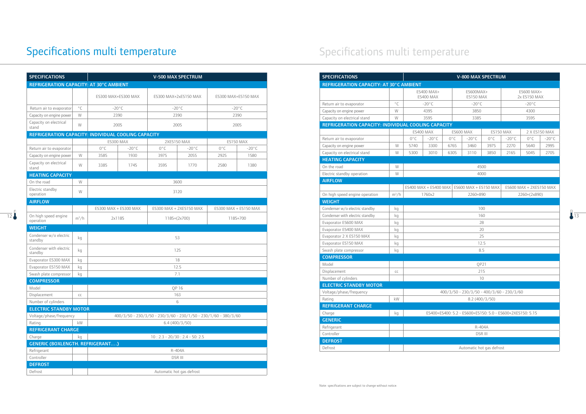## erature

| <b>SPECIFICATIONS</b>                               |              |               |                       |               | <b>V-800 MAX SPECTRUM</b>                                 |               |                 |                         |                 |
|-----------------------------------------------------|--------------|---------------|-----------------------|---------------|-----------------------------------------------------------|---------------|-----------------|-------------------------|-----------------|
| REFRIGERATION CAPACITY: AT 30°C AMBIENT             |              |               |                       |               |                                                           |               |                 |                         |                 |
|                                                     |              |               | ES400 MAX+            |               | ES600MAX+                                                 |               |                 | ES600 MAX+              |                 |
|                                                     |              |               | <b>ES400 MAX</b>      |               | ES150 MAX                                                 |               |                 | 2x ES150 MAX            |                 |
| Return air to evaporator                            | $^{\circ}$ C |               | $-20^{\circ}$ C       |               | $-20^{\circ}$ C                                           |               |                 | $-20^{\circ}$ C         |                 |
| Capacity on engine power                            | W            |               | 4395                  |               | 3850                                                      |               |                 | 4300                    |                 |
| Capacity on electrical stand                        | W            |               | 3595                  |               | 3385                                                      |               |                 | 3595                    |                 |
| REFRIGERATION CAPACITY: INDIVIDUAL COOLING CAPACITY |              |               |                       |               |                                                           |               |                 |                         |                 |
|                                                     |              |               | <b>ES400 MAX</b>      |               | <b>ES600 MAX</b>                                          | ES150 MAX     |                 |                         | 2 X ES150 MAX   |
| Return air to evaporator                            |              | $0^{\circ}$ C | $-20^{\circ}$ C       | $0^{\circ}$ C | $-20^{\circ}$ C                                           | $0^{\circ}$ C | $-20^{\circ}$ C | $0^{\circ}$ C           | $-20^{\circ}$ C |
| Capacity on engine power                            | W            | 5740          | 3300                  | 6765          | 3460                                                      | 3975          | 2270            | 5640                    | 2995            |
| Capacity on electrical stand                        | W            | 5300          | 3010                  | 6305          | 3110                                                      | 3850          | 2165            | 5045                    | 2705            |
| <b>HEATING CAPACITY</b>                             |              |               |                       |               |                                                           |               |                 |                         |                 |
| On the road                                         | W            |               |                       |               | 4500                                                      |               |                 |                         |                 |
| Electric standby operation                          | W            |               |                       |               | 4000                                                      |               |                 |                         |                 |
| <b>AIRFLOW</b>                                      |              |               |                       |               |                                                           |               |                 |                         |                 |
|                                                     |              |               | ES400 MAX + ES400 MAX |               | ES600 MAX + ES150 MAX                                     |               |                 | ES600 MAX + 2XES150 MAX |                 |
| On high speed engine operation                      | $m^3/h$      |               | 1760x2                |               | 2260+890                                                  |               |                 | 2260+(2x890)            |                 |
| <b>WEIGHT</b>                                       |              |               |                       |               |                                                           |               |                 |                         |                 |
| Condenser w/o electric standby                      | kg           |               |                       |               | 100                                                       |               |                 |                         |                 |
| Condenser with electric standby                     | kg           |               |                       |               | 160                                                       |               |                 |                         |                 |
| Evaporator ES600 MAX                                | kg           |               |                       |               | 28                                                        |               |                 |                         |                 |
| Evaporator ES400 MAX                                | kg           |               |                       |               | 20                                                        |               |                 |                         |                 |
| Evaporator 2 X ES150 MAX                            | kg           |               |                       |               | 25                                                        |               |                 |                         |                 |
| Evaporator ES150 MAX                                | kg           |               |                       |               | 12.5                                                      |               |                 |                         |                 |
| Swash plate compressor                              | kg           |               |                       |               | 8.5                                                       |               |                 |                         |                 |
| <b>COMPRESSOR</b>                                   |              |               |                       |               |                                                           |               |                 |                         |                 |
| Model                                               |              |               |                       |               | QP21                                                      |               |                 |                         |                 |
| Displacement                                        | CC           |               |                       |               | 215                                                       |               |                 |                         |                 |
| Number of cylinders                                 |              |               |                       |               | 10                                                        |               |                 |                         |                 |
| <b>ELECTRIC STANDBY MOTOR</b>                       |              |               |                       |               |                                                           |               |                 |                         |                 |
| Voltage/phase/frequency                             |              |               |                       |               | 400/3/50 - 230/3/50 - 400/3/60 - 230/3/60                 |               |                 |                         |                 |
| Rating                                              | kW           |               |                       |               | 8.2(400/3/50)                                             |               |                 |                         |                 |
| <b>REFRIGERANT CHARGE</b>                           |              |               |                       |               |                                                           |               |                 |                         |                 |
| Charge                                              | kg           |               |                       |               | ES400+ES400: 5.2 - ES600+ES150: 5.0 - ES600+2XES150: 5.15 |               |                 |                         |                 |
| <b>GENERIC</b>                                      |              |               |                       |               |                                                           |               |                 |                         |                 |
| Refrigerant                                         |              |               |                       |               | R-404A                                                    |               |                 |                         |                 |
| Controller                                          |              |               |                       |               | <b>DSR III</b>                                            |               |                 |                         |                 |
| <b>DEFROST</b>                                      |              |               |                       |               |                                                           |               |                 |                         |                 |
| Defrost                                             |              |               |                       |               | Automatic hot gas defrost                                 |               |                 |                         |                 |

| <b>SPECIFICATIONS</b>                               |              |                       |                 |                                                                 | <b>V-500 MAX SPECTRUM</b>     |               |                       |
|-----------------------------------------------------|--------------|-----------------------|-----------------|-----------------------------------------------------------------|-------------------------------|---------------|-----------------------|
| REFRIGERATION CAPACITY: AT 30°C AMBIENT             |              |                       |                 |                                                                 |                               |               |                       |
|                                                     |              | ES300 MAX+ES300 MAX   |                 |                                                                 | ES300 MAX+2xES150 MAX         |               | ES300 MAX+ES150 MAX   |
|                                                     |              |                       |                 |                                                                 |                               |               |                       |
| Return air to evaporator                            | $^{\circ}$ C | $-20^{\circ}$ C       |                 |                                                                 | $-20^{\circ}$ C               |               | $-20^{\circ}$ C       |
| Capacity on engine power                            | W            | 2390                  |                 |                                                                 | 2390                          |               | 2390                  |
| Capacity on electrical<br>stand                     | W            | 2005                  |                 |                                                                 | 2005                          |               | 2005                  |
| REFRIGERATION CAPACITY: INDIVIDUAL COOLING CAPACITY |              |                       |                 |                                                                 |                               |               |                       |
|                                                     |              | ES300 MAX             |                 | 2XES150 MAX                                                     |                               |               | ES150 MAX             |
| Return air to evaporator                            |              | $0^{\circ}$ C         | $-20^{\circ}$ C | $0^{\circ}$ C                                                   | $-20^{\circ}$ C               | $0^{\circ}$ C | $-20^{\circ}$ C       |
| Capacity on engine power                            | W            | 3585                  | 1930            | 3975                                                            | 2055                          | 2925          | 1580                  |
| Capacity on electrical                              |              |                       |                 |                                                                 |                               |               |                       |
| stand                                               | W            | 3385                  | 1745            | 3595                                                            | 1770                          | 2580          | 1380                  |
| <b>HEATING CAPACITY</b>                             |              |                       |                 |                                                                 |                               |               |                       |
| On the road                                         | W            |                       |                 |                                                                 | 3600                          |               |                       |
| Electric standby                                    |              |                       |                 |                                                                 |                               |               |                       |
| operation                                           | W            |                       |                 |                                                                 | 3120                          |               |                       |
| <b>AIRFLOW</b>                                      |              |                       |                 |                                                                 |                               |               |                       |
|                                                     |              | ES300 MAX + ES300 MAX |                 |                                                                 | ES300 MAX + 2XES150 MAX       |               | ES300 MAX + ES150 MAX |
| On high speed engine                                | $m^3/h$      | 2x1185                |                 |                                                                 | 1185+(2x700)                  |               | 1185+700              |
| operation                                           |              |                       |                 |                                                                 |                               |               |                       |
| <b>WEIGHT</b>                                       |              |                       |                 |                                                                 |                               |               |                       |
| Condenser w/o electric<br>standby                   | kg           |                       |                 |                                                                 | 53                            |               |                       |
|                                                     |              |                       |                 |                                                                 |                               |               |                       |
| Condenser with electric<br>standby                  | kg           |                       |                 |                                                                 | 125                           |               |                       |
| Evaporator ES300 MAX                                | kg           |                       |                 |                                                                 | 18                            |               |                       |
| Evaporator ES150 MAX                                | kg           |                       |                 |                                                                 | 12.5                          |               |                       |
| Swash plate compressor                              | kg           |                       |                 |                                                                 | 7.1                           |               |                       |
| <b>COMPRESSOR</b>                                   |              |                       |                 |                                                                 |                               |               |                       |
| Model                                               |              |                       |                 | OP 16                                                           |                               |               |                       |
| Displacement                                        |              |                       |                 |                                                                 | 163                           |               |                       |
| Number of cylinders                                 | CC           |                       |                 |                                                                 | 6                             |               |                       |
| <b>ELECTRIC STANDBY MOTOR</b>                       |              |                       |                 |                                                                 |                               |               |                       |
| Voltage/phase/frequency                             |              |                       |                 |                                                                 |                               |               |                       |
| Rating                                              | kW           |                       |                 | 400/3/50 - 230/3/50 - 230/3/60 - 230/1/50 - 230/1/60 - 380/3/60 | 6.4(400/3/50)                 |               |                       |
| <b>REFRIGERANT CHARGE</b>                           |              |                       |                 |                                                                 |                               |               |                       |
|                                                     |              |                       |                 |                                                                 |                               |               |                       |
| Charge                                              | kg           |                       |                 |                                                                 | $10:2.3 - 20/30:2.4 - 50:2.5$ |               |                       |
| <b>GENERIC (BOXLENGTH. REFRIGERANT)</b>             |              |                       |                 |                                                                 |                               |               |                       |
| Refrigerant                                         |              |                       |                 |                                                                 | R-404A                        |               |                       |
| Controller                                          |              |                       |                 |                                                                 | <b>DSR III</b>                |               |                       |
| <b>DEFROST</b>                                      |              |                       |                 |                                                                 |                               |               |                       |
| Defrost                                             |              |                       |                 | Automatic hot gas defrost                                       |                               |               |                       |

# Specifications multi temperature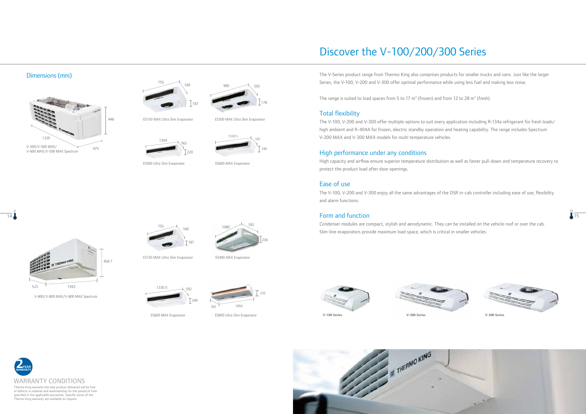





The V-Series product range from Thermo King also comprises products for smaller trucks and vans. Just like the larger Series, the V-100, V-200 and V-300 offer optimal performance while using less fuel and making less noise.

The range is suited to load spaces from 5 to 17  $m<sup>3</sup>$  (frozen) and from 12 to 28  $m<sup>3</sup>$  (fresh).

### Total flexibility

The V-100, V-200 and V-300 offer multiple options to suit every application including R-134a refrigerant for fresh loads/ high ambient and R-404A for frozen, electric standby operation and heating capability. The range includes Spectrum V-200 MAX and V-300 MAX models for multi temperature vehicles.

#### 14 **Form and function** Form and function

## High performance under any conditions

High capacity and airflow ensure superior temperature distribution as well as faster pull-down and temperature recovery to protect the product load after door openings.

### Ease of use

The V-100, V-200 and V-300 enjoy all the same advantages of the DSR in-cab controller including ease of use, flexibility and alarm functions.

Condenser modules are compact, stylish and aerodynamic. They can be installed on the vehicle roof or over the cab. Slim-line evaporators provide maximum load space, which is critical in smaller vehicles.





V-800/V-800 MAX/V-800 MAX Spectrum





ES400 MAX Evaporator



ES500 Ultra Slim Evaporator



ES800 Ultra Slim Evaporator



ES150 MAX Ultra Slim Evaporator



ES600 MAX Evaporator



ES300 MAX Ultra Slim Evaporator



ES150 MAX Ultra Slim Evaporator

#### Dimensions (mm)



ES600 MAX Evaporator



of defects in material and workmanship for the period of time specified in the applicable warranties. Specific terms of the Thermo King warranty are available on request.